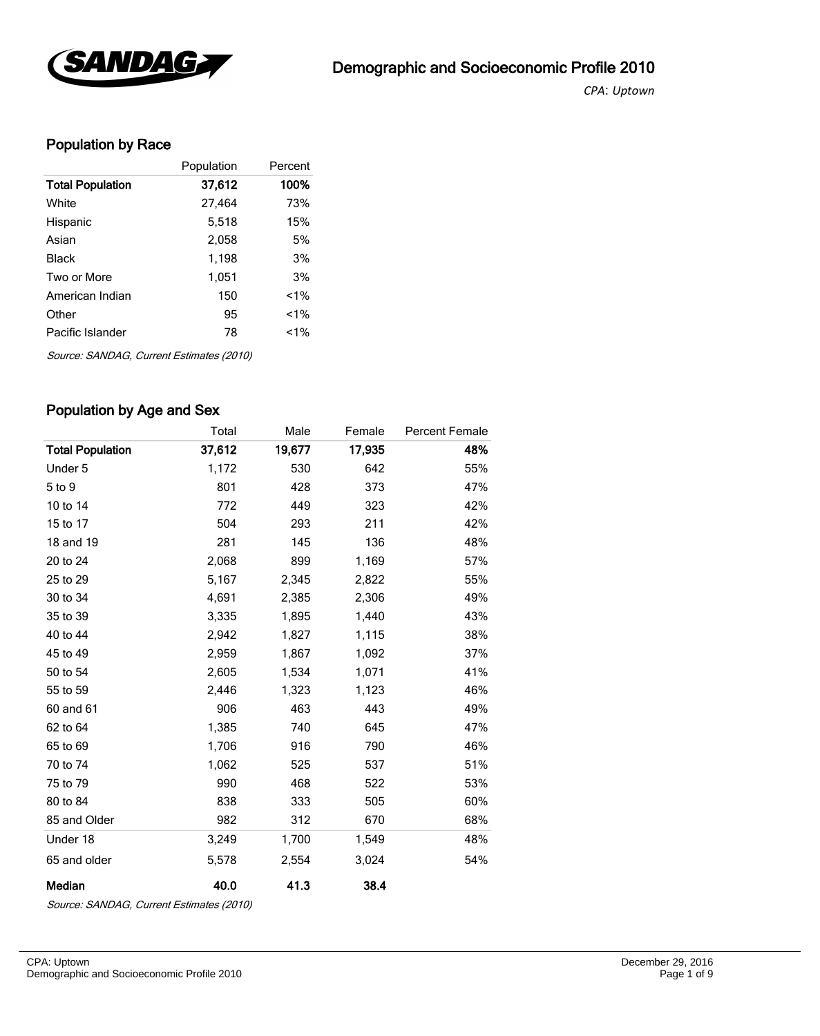

*CPA*: *Uptown* 

## Population by Race

|                         | Population | Percent |
|-------------------------|------------|---------|
| <b>Total Population</b> | 37,612     | 100%    |
| White                   | 27,464     | 73%     |
| Hispanic                | 5,518      | 15%     |
| Asian                   | 2,058      | 5%      |
| Black                   | 1,198      | 3%      |
| Two or More             | 1,051      | 3%      |
| American Indian         | 150        | $1\%$   |
| Other                   | 95         | $< 1\%$ |
| Pacific Islander        | 78         | $1\%$   |

Source: SANDAG, Current Estimates (2010)

#### Population by Age and Sex

|                         | Total  | Male   | Female | <b>Percent Female</b> |
|-------------------------|--------|--------|--------|-----------------------|
| <b>Total Population</b> | 37,612 | 19,677 | 17,935 | 48%                   |
| Under 5                 | 1,172  | 530    | 642    | 55%                   |
| 5 to 9                  | 801    | 428    | 373    | 47%                   |
| 10 to 14                | 772    | 449    | 323    | 42%                   |
| 15 to 17                | 504    | 293    | 211    | 42%                   |
| 18 and 19               | 281    | 145    | 136    | 48%                   |
| 20 to 24                | 2,068  | 899    | 1,169  | 57%                   |
| 25 to 29                | 5,167  | 2,345  | 2,822  | 55%                   |
| 30 to 34                | 4,691  | 2,385  | 2,306  | 49%                   |
| 35 to 39                | 3,335  | 1,895  | 1,440  | 43%                   |
| 40 to 44                | 2,942  | 1,827  | 1,115  | 38%                   |
| 45 to 49                | 2,959  | 1,867  | 1,092  | 37%                   |
| 50 to 54                | 2,605  | 1,534  | 1,071  | 41%                   |
| 55 to 59                | 2,446  | 1,323  | 1,123  | 46%                   |
| 60 and 61               | 906    | 463    | 443    | 49%                   |
| 62 to 64                | 1,385  | 740    | 645    | 47%                   |
| 65 to 69                | 1,706  | 916    | 790    | 46%                   |
| 70 to 74                | 1,062  | 525    | 537    | 51%                   |
| 75 to 79                | 990    | 468    | 522    | 53%                   |
| 80 to 84                | 838    | 333    | 505    | 60%                   |
| 85 and Older            | 982    | 312    | 670    | 68%                   |
| Under 18                | 3,249  | 1,700  | 1,549  | 48%                   |
| 65 and older            | 5,578  | 2,554  | 3,024  | 54%                   |
| Median                  | 40.0   | 41.3   | 38.4   |                       |

Source: SANDAG, Current Estimates (2010)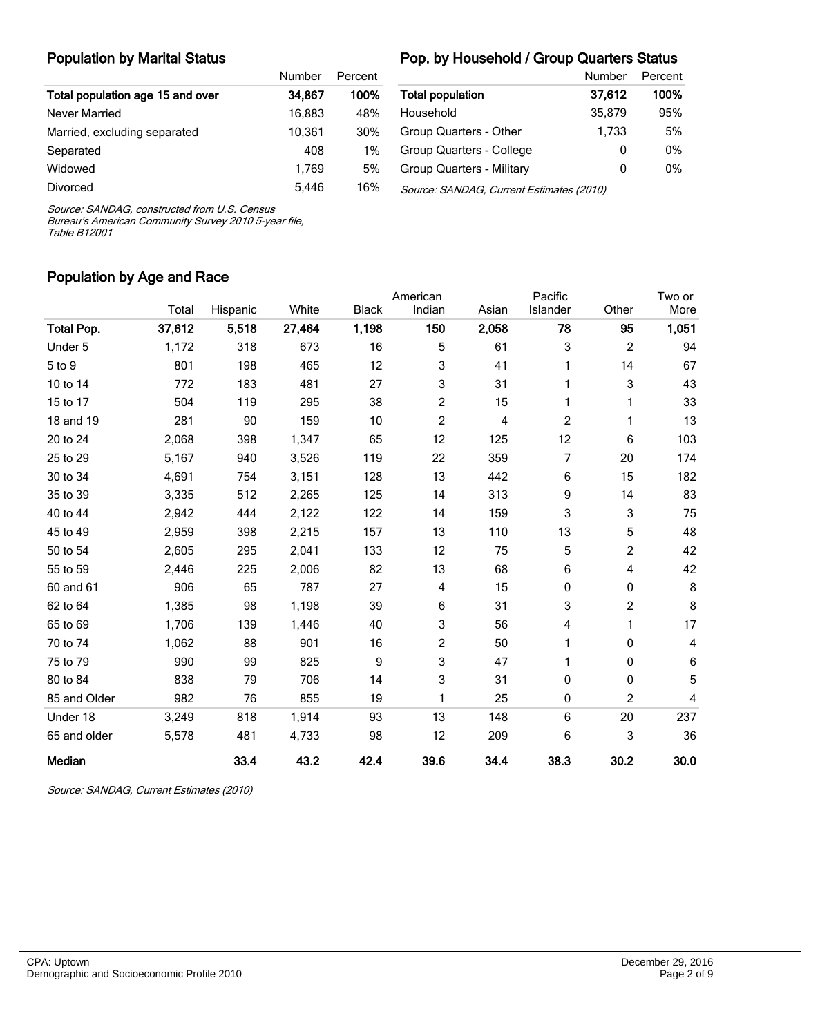#### Population by Marital Status

#### Pop. by Household / Group Quarters Status

|                                  | Number | Percent |                                          | Number | Percent |
|----------------------------------|--------|---------|------------------------------------------|--------|---------|
| Total population age 15 and over | 34.867 | 100%    | <b>Total population</b>                  | 37,612 | 100%    |
| Never Married                    | 16.883 | 48%     | Household                                | 35,879 | 95%     |
| Married, excluding separated     | 10.361 | 30%     | Group Quarters - Other                   | 1.733  | 5%      |
| Separated                        | 408    | $1\%$   | Group Quarters - College                 | 0      | 0%      |
| Widowed                          | 1.769  | 5%      | <b>Group Quarters - Military</b>         | 0      | $0\%$   |
| <b>Divorced</b>                  | 5,446  | 16%     | Source: SANDAG, Current Estimates (2010) |        |         |

Source: SANDAG, constructed from U.S. Census

Bureau's American Community Survey 2010 5-year file, Table B12001

#### Population by Age and Race

|                   |        |          |        |              | American |       | Pacific  |                | Two or                  |
|-------------------|--------|----------|--------|--------------|----------|-------|----------|----------------|-------------------------|
|                   | Total  | Hispanic | White  | <b>Black</b> | Indian   | Asian | Islander | Other          | More                    |
| <b>Total Pop.</b> | 37,612 | 5,518    | 27,464 | 1,198        | 150      | 2,058 | 78       | 95             | 1,051                   |
| Under 5           | 1,172  | 318      | 673    | 16           | 5        | 61    | 3        | $\overline{c}$ | 94                      |
| 5 to 9            | 801    | 198      | 465    | 12           | 3        | 41    |          | 14             | 67                      |
| 10 to 14          | 772    | 183      | 481    | 27           | 3        | 31    |          | 3              | 43                      |
| 15 to 17          | 504    | 119      | 295    | 38           | 2        | 15    |          | 1              | 33                      |
| 18 and 19         | 281    | 90       | 159    | 10           | 2        | 4     | 2        | 1              | 13                      |
| 20 to 24          | 2,068  | 398      | 1,347  | 65           | 12       | 125   | 12       | 6              | 103                     |
| 25 to 29          | 5,167  | 940      | 3,526  | 119          | 22       | 359   | 7        | 20             | 174                     |
| 30 to 34          | 4,691  | 754      | 3,151  | 128          | 13       | 442   | 6        | 15             | 182                     |
| 35 to 39          | 3,335  | 512      | 2,265  | 125          | 14       | 313   | 9        | 14             | 83                      |
| 40 to 44          | 2,942  | 444      | 2,122  | 122          | 14       | 159   | 3        | 3              | 75                      |
| 45 to 49          | 2,959  | 398      | 2,215  | 157          | 13       | 110   | 13       | 5              | 48                      |
| 50 to 54          | 2,605  | 295      | 2,041  | 133          | 12       | 75    | 5        | $\overline{c}$ | 42                      |
| 55 to 59          | 2,446  | 225      | 2,006  | 82           | 13       | 68    | 6        | 4              | 42                      |
| 60 and 61         | 906    | 65       | 787    | 27           | 4        | 15    | 0        | 0              | 8                       |
| 62 to 64          | 1,385  | 98       | 1,198  | 39           | 6        | 31    | 3        | $\overline{c}$ | 8                       |
| 65 to 69          | 1,706  | 139      | 1,446  | 40           | 3        | 56    | 4        | 1              | 17                      |
| 70 to 74          | 1,062  | 88       | 901    | 16           | 2        | 50    |          | 0              | 4                       |
| 75 to 79          | 990    | 99       | 825    | 9            | 3        | 47    |          | 0              | 6                       |
| 80 to 84          | 838    | 79       | 706    | 14           | 3        | 31    | 0        | 0              | 5                       |
| 85 and Older      | 982    | 76       | 855    | 19           | 1        | 25    | 0        | 2              | $\overline{\mathbf{4}}$ |
| Under 18          | 3,249  | 818      | 1,914  | 93           | 13       | 148   | 6        | 20             | 237                     |
| 65 and older      | 5,578  | 481      | 4,733  | 98           | 12       | 209   | 6        | 3              | 36                      |
| Median            |        | 33.4     | 43.2   | 42.4         | 39.6     | 34.4  | 38.3     | 30.2           | 30.0                    |

Source: SANDAG, Current Estimates (2010)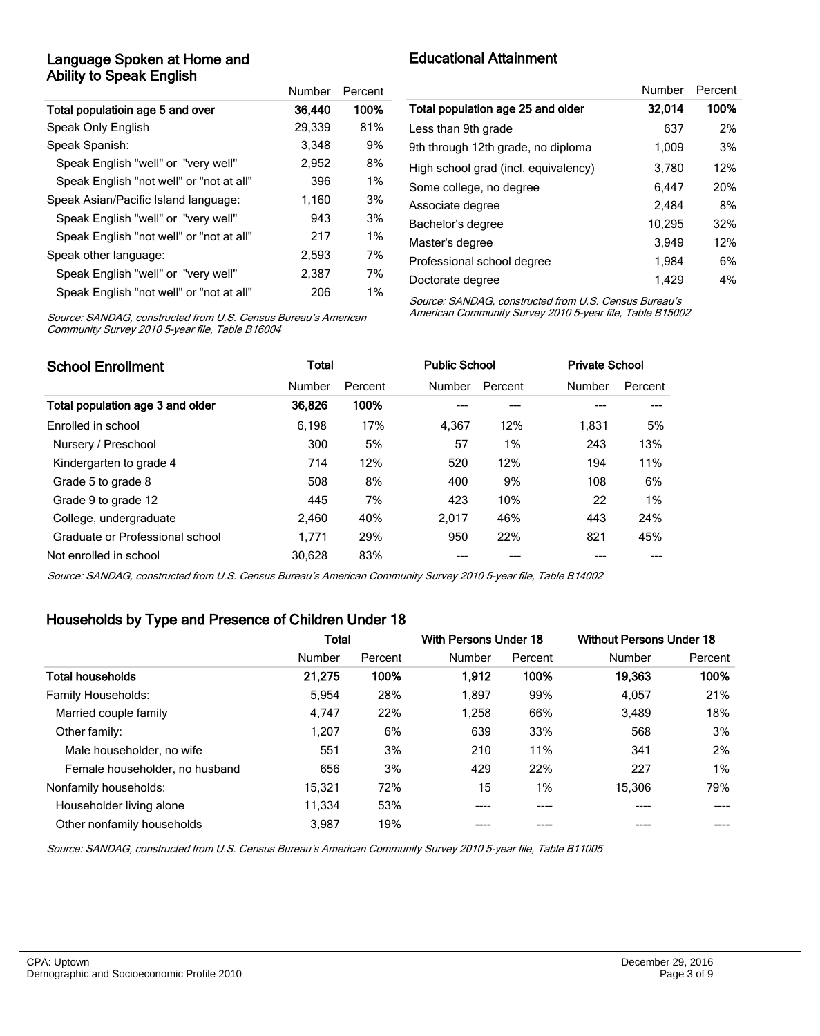#### Language Spoken at Home and Ability to Speak English

|                                          | Number | Percent |
|------------------------------------------|--------|---------|
| Total populatioin age 5 and over         | 36,440 | 100%    |
| Speak Only English                       | 29,339 | 81%     |
| Speak Spanish:                           | 3.348  | 9%      |
| Speak English "well" or "very well"      | 2.952  | 8%      |
| Speak English "not well" or "not at all" | 396    | $1\%$   |
| Speak Asian/Pacific Island language:     | 1.160  | 3%      |
| Speak English "well" or "very well"      | 943    | 3%      |
| Speak English "not well" or "not at all" | 217    | 1%      |
| Speak other language:                    | 2,593  | 7%      |
| Speak English "well" or "very well"      | 2.387  | 7%      |
| Speak English "not well" or "not at all" | 206    | $1\%$   |

Educational Attainment

|                                      | Number | Percent |
|--------------------------------------|--------|---------|
| Total population age 25 and older    | 32,014 | 100%    |
| Less than 9th grade                  | 637    | 2%      |
| 9th through 12th grade, no diploma   | 1,009  | 3%      |
| High school grad (incl. equivalency) | 3,780  | 12%     |
| Some college, no degree              | 6,447  | 20%     |
| Associate degree                     | 2.484  | 8%      |
| Bachelor's degree                    | 10.295 | 32%     |
| Master's degree                      | 3,949  | 12%     |
| Professional school degree           | 1,984  | 6%      |
| Doctorate degree                     | 1.429  | 4%      |

Source: SANDAG, constructed from U.S. Census Bureau's American Community Survey 2010 5-year file, Table B16004

Source: SANDAG, constructed from U.S. Census Bureau's American Community Survey 2010 5-year file, Table B15002

| <b>School Enrollment</b>         | Total  |         |        | <b>Public School</b> | <b>Private School</b> |         |
|----------------------------------|--------|---------|--------|----------------------|-----------------------|---------|
|                                  | Number | Percent | Number | Percent              | Number                | Percent |
| Total population age 3 and older | 36,826 | 100%    |        | ---                  |                       |         |
| Enrolled in school               | 6.198  | 17%     | 4.367  | 12%                  | 1.831                 | 5%      |
| Nursery / Preschool              | 300    | 5%      | 57     | $1\%$                | 243                   | 13%     |
| Kindergarten to grade 4          | 714    | 12%     | 520    | 12%                  | 194                   | 11%     |
| Grade 5 to grade 8               | 508    | 8%      | 400    | 9%                   | 108                   | 6%      |
| Grade 9 to grade 12              | 445    | 7%      | 423    | 10%                  | 22                    | $1\%$   |
| College, undergraduate           | 2,460  | 40%     | 2.017  | 46%                  | 443                   | 24%     |
| Graduate or Professional school  | 1.771  | 29%     | 950    | 22%                  | 821                   | 45%     |
| Not enrolled in school           | 30.628 | 83%     |        |                      |                       |         |

Source: SANDAG, constructed from U.S. Census Bureau's American Community Survey 2010 5-year file, Table B14002

#### Households by Type and Presence of Children Under 18

|                                | <b>Total</b> |         | With Persons Under 18 |         | <b>Without Persons Under 18</b> |         |
|--------------------------------|--------------|---------|-----------------------|---------|---------------------------------|---------|
|                                | Number       | Percent | Number                | Percent | Number                          | Percent |
| <b>Total households</b>        | 21,275       | 100%    | 1,912                 | 100%    | 19,363                          | 100%    |
| <b>Family Households:</b>      | 5,954        | 28%     | 1,897                 | 99%     | 4,057                           | 21%     |
| Married couple family          | 4.747        | 22%     | 1.258                 | 66%     | 3.489                           | 18%     |
| Other family:                  | 1.207        | 6%      | 639                   | 33%     | 568                             | 3%      |
| Male householder, no wife      | 551          | 3%      | 210                   | 11%     | 341                             | 2%      |
| Female householder, no husband | 656          | 3%      | 429                   | 22%     | 227                             | 1%      |
| Nonfamily households:          | 15.321       | 72%     | 15                    | 1%      | 15,306                          | 79%     |
| Householder living alone       | 11.334       | 53%     |                       | ----    |                                 |         |
| Other nonfamily households     | 3.987        | 19%     |                       |         |                                 |         |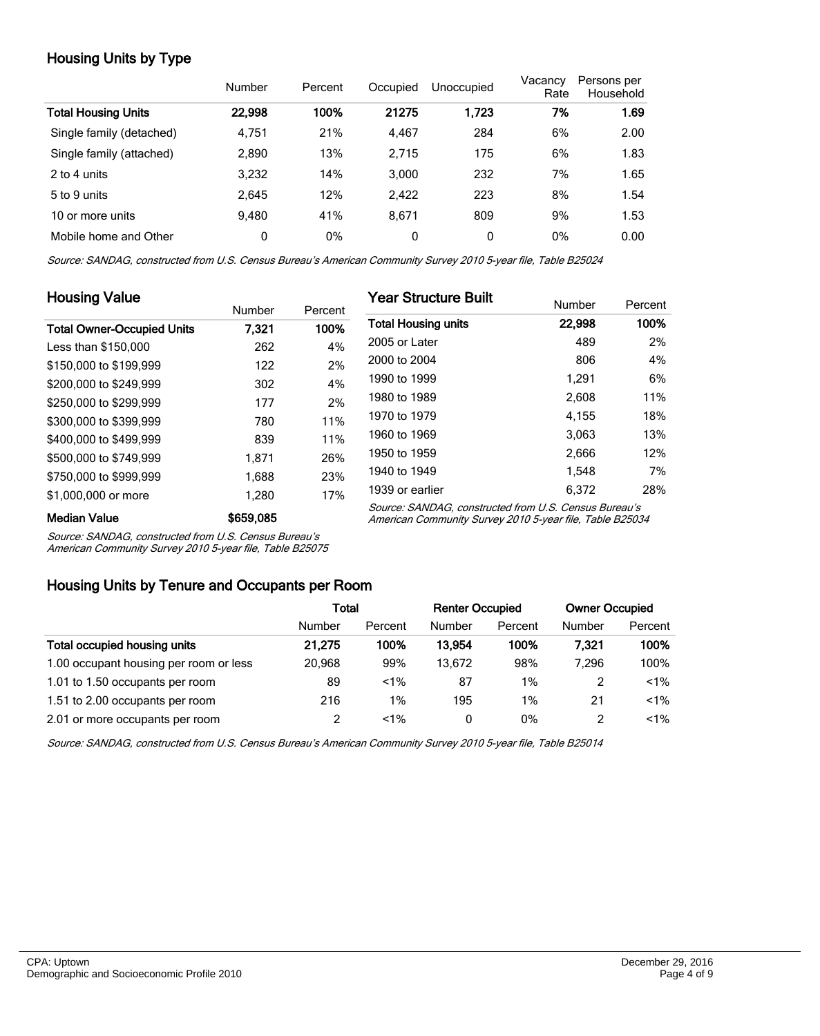## Housing Units by Type

|                            | Number | Percent | Occupied | Unoccupied | Vacancy<br>Rate | Persons per<br>Household |
|----------------------------|--------|---------|----------|------------|-----------------|--------------------------|
| <b>Total Housing Units</b> | 22,998 | 100%    | 21275    | 1,723      | 7%              | 1.69                     |
| Single family (detached)   | 4,751  | 21%     | 4,467    | 284        | 6%              | 2.00                     |
| Single family (attached)   | 2,890  | 13%     | 2.715    | 175        | 6%              | 1.83                     |
| 2 to 4 units               | 3,232  | 14%     | 3.000    | 232        | 7%              | 1.65                     |
| 5 to 9 units               | 2.645  | 12%     | 2,422    | 223        | 8%              | 1.54                     |
| 10 or more units           | 9.480  | 41%     | 8.671    | 809        | 9%              | 1.53                     |
| Mobile home and Other      | 0      | 0%      | 0        | 0          | 0%              | 0.00                     |

Source: SANDAG, constructed from U.S. Census Bureau's American Community Survey 2010 5-year file, Table B25024

| <b>Housing Value</b>              |               |         | <b>Year Structure Built</b>                                                                                       |        |         |  |  |
|-----------------------------------|---------------|---------|-------------------------------------------------------------------------------------------------------------------|--------|---------|--|--|
|                                   | <b>Number</b> | Percent |                                                                                                                   | Number | Percent |  |  |
| <b>Total Owner-Occupied Units</b> | 7.321         | 100%    | <b>Total Housing units</b>                                                                                        | 22,998 | 100%    |  |  |
| Less than \$150,000               | 262           | 4%      | 2005 or Later                                                                                                     | 489    | 2%      |  |  |
| \$150,000 to \$199,999            | 122           | 2%      | 2000 to 2004                                                                                                      | 806    | 4%      |  |  |
| \$200,000 to \$249.999            | 302           | 4%      | 1990 to 1999                                                                                                      | 1.291  | 6%      |  |  |
| \$250,000 to \$299,999            | 177           | 2%      | 1980 to 1989                                                                                                      | 2,608  | 11%     |  |  |
| \$300,000 to \$399,999            | 780           | 11%     | 1970 to 1979                                                                                                      | 4.155  | 18%     |  |  |
| \$400,000 to \$499.999            | 839           | 11%     | 1960 to 1969                                                                                                      | 3,063  | 13%     |  |  |
| \$500,000 to \$749,999            | 1.871         | 26%     | 1950 to 1959                                                                                                      | 2,666  | 12%     |  |  |
| \$750,000 to \$999,999            | 1,688         | 23%     | 1940 to 1949                                                                                                      | 1.548  | 7%      |  |  |
| \$1,000,000 or more               | 1.280         | 17%     | 1939 or earlier                                                                                                   | 6.372  | 28%     |  |  |
| <b>Median Value</b>               | \$659,085     |         | Source: SANDAG, constructed from U.S. Census Bureau's<br>American Community Survey 2010 5-year file, Table B25034 |        |         |  |  |

Source: SANDAG, constructed from U.S. Census Bureau's

American Community Survey 2010 5-year file, Table B25075

#### Housing Units by Tenure and Occupants per Room

|                                        | Total  |         | <b>Renter Occupied</b> |         | <b>Owner Occupied</b> |         |
|----------------------------------------|--------|---------|------------------------|---------|-----------------------|---------|
|                                        | Number | Percent | Number                 | Percent | Number                | Percent |
| Total occupied housing units           | 21.275 | 100%    | 13.954                 | 100%    | 7.321                 | 100%    |
| 1.00 occupant housing per room or less | 20.968 | 99%     | 13.672                 | 98%     | 7.296                 | 100%    |
| 1.01 to 1.50 occupants per room        | 89     | $< 1\%$ | 87                     | $1\%$   |                       | $< 1\%$ |
| 1.51 to 2.00 occupants per room        | 216    | $1\%$   | 195                    | $1\%$   | 21                    | $< 1\%$ |
| 2.01 or more occupants per room        |        | $< 1\%$ | 0                      | 0%      |                       | $< 1\%$ |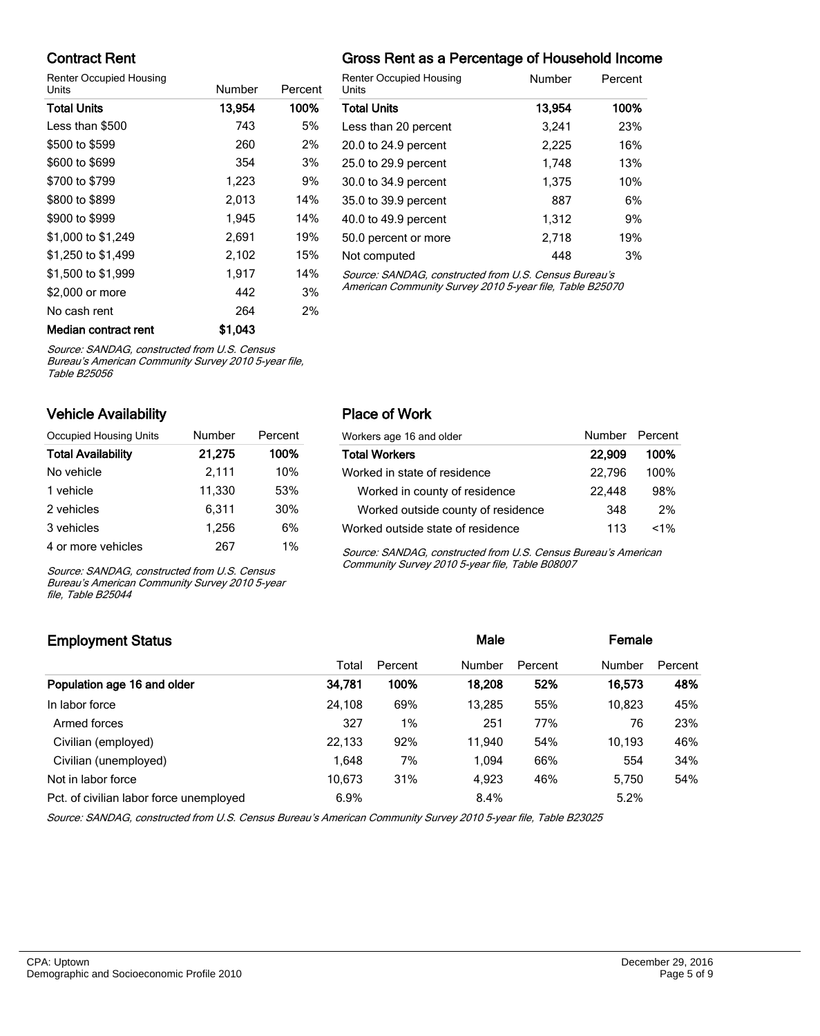#### Contract Rent

Renter Occupied Housing

| Units                | Number  | Percent |   |
|----------------------|---------|---------|---|
| <b>Total Units</b>   | 13,954  | 100%    |   |
| Less than \$500      | 743     | 5%      |   |
| \$500 to \$599       | 260     | 2%      |   |
| \$600 to \$699       | 354     | 3%      |   |
| \$700 to \$799       | 1,223   | 9%      |   |
| \$800 to \$899       | 2,013   | 14%     |   |
| \$900 to \$999       | 1,945   | 14%     |   |
| \$1,000 to \$1,249   | 2,691   | 19%     | Į |
| \$1,250 to \$1,499   | 2,102   | 15%     |   |
| \$1,500 to \$1,999   | 1,917   | 14%     |   |
| \$2,000 or more      | 442     | 3%      |   |
| No cash rent         | 264     | 2%      |   |
| Median contract rent | \$1,043 |         |   |

## Gross Rent as a Percentage of Household Income

| <b>Renter Occupied Housing</b><br>Units               | Number | Percent |
|-------------------------------------------------------|--------|---------|
| <b>Total Units</b>                                    | 13,954 | 100%    |
| Less than 20 percent                                  | 3.241  | 23%     |
| 20.0 to 24.9 percent                                  | 2.225  | 16%     |
| 25.0 to 29.9 percent                                  | 1.748  | 13%     |
| 30.0 to 34.9 percent                                  | 1,375  | 10%     |
| 35.0 to 39.9 percent                                  | 887    | 6%      |
| 40.0 to 49.9 percent                                  | 1.312  | 9%      |
| 50.0 percent or more                                  | 2,718  | 19%     |
| Not computed                                          | 448    | 3%      |
| Source: SANDAC, constructed from U.S. Cansus Burgau's |        |         |

Source: SANDAG, constructed from U.S. Cens American Community Survey 2010 5-year file, Table B25070

Source: SANDAG, constructed from U.S. Census

Bureau's American Community Survey 2010 5-year file, Table B25056

#### Vehicle Availability

| Occupied Housing Units    | <b>Number</b> | Percent |
|---------------------------|---------------|---------|
| <b>Total Availability</b> | 21,275        | 100%    |
| No vehicle                | 2,111         | 10%     |
| 1 vehicle                 | 11.330        | 53%     |
| 2 vehicles                | 6,311         | 30%     |
| 3 vehicles                | 1,256         | 6%      |
| 4 or more vehicles        | 267           | 1%      |

Source: SANDAG, constructed from U.S. Census Bureau's American Community Survey 2010 5-year file, Table B25044

#### Place of Work

| Workers age 16 and older           | Number Percent |       |
|------------------------------------|----------------|-------|
| <b>Total Workers</b>               | 22,909         | 100%  |
| Worked in state of residence       | 22.796         | 100%  |
| Worked in county of residence      | 22.448         | 98%   |
| Worked outside county of residence | 348            | 2%    |
| Worked outside state of residence  | 113            | $1\%$ |

Source: SANDAG, constructed from U.S. Census Bureau's American Community Survey 2010 5-year file, Table B08007

### Employment Status **Employment Status Male Employment Status Male Employment Status Male Employment Status** Total Percent Number Percent Number Percent Population age 16 and older 34,781 100% 18,208 52% 16,573 48% In labor force 24,108 69% 13,285 55% 10,823 45% Armed forces 23% 327 1% 251 77% 76 23% Civilian (employed) 22,133 92% 11,940 54% 10,193 46% Civilian (unemployed) 1,648 7% 1,094 66% 554 34% Not in labor force  $10,673$   $31\%$   $4,923$   $46\%$   $5,750$   $54\%$ Pct. of civilian labor force unemployed 6.9% 8.4% 8.4% 5.2%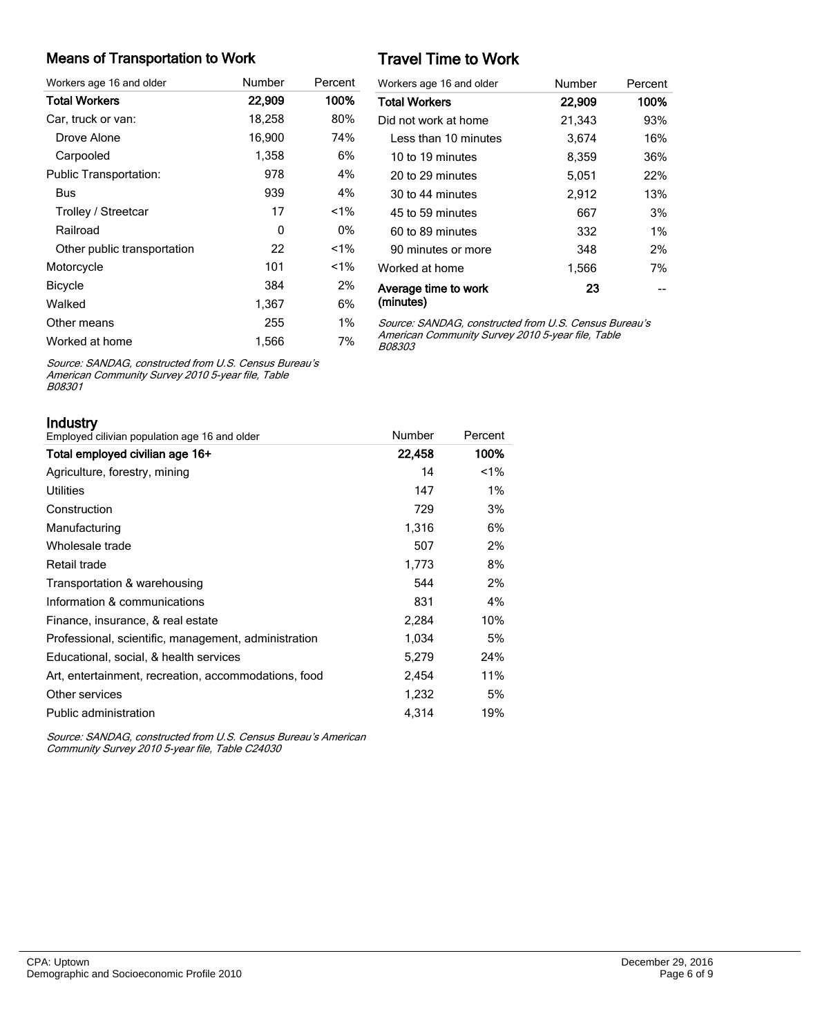#### Means of Transportation to Work

| Workers age 16 and older      | Number | Percent |
|-------------------------------|--------|---------|
| <b>Total Workers</b>          | 22,909 | 100%    |
| Car, truck or van:            | 18,258 | 80%     |
| Drove Alone                   | 16,900 | 74%     |
| Carpooled                     | 1,358  | 6%      |
| <b>Public Transportation:</b> | 978    | 4%      |
| Bus                           | 939    | 4%      |
| Trolley / Streetcar           | 17     | <1%     |
| Railroad                      | 0      | 0%      |
| Other public transportation   | 22     | <1%     |
| Motorcycle                    | 101    | $< 1\%$ |
| <b>Bicycle</b>                | 384    | 2%      |
| Walked                        | 1,367  | 6%      |
| Other means                   | 255    | $1\%$   |
| Worked at home                | 1,566  | 7%      |

# Travel Time to Work

| Workers age 16 and older          | Number | Percent |
|-----------------------------------|--------|---------|
| <b>Total Workers</b>              | 22,909 | 100%    |
| Did not work at home              | 21,343 | 93%     |
| I ess than 10 minutes             | 3,674  | 16%     |
| 10 to 19 minutes                  | 8,359  | 36%     |
| 20 to 29 minutes                  | 5,051  | 22%     |
| 30 to 44 minutes                  | 2,912  | 13%     |
| 45 to 59 minutes                  | 667    | 3%      |
| 60 to 89 minutes                  | 332    | $1\%$   |
| 90 minutes or more                | 348    | 2%      |
| Worked at home                    | 1,566  | 7%      |
| Average time to work<br>(minutes) | 23     |         |

Source: SANDAG, constructed from U.S. Census Bureau's American Community Survey 2010 5-year file, Table B08303

Source: SANDAG, constructed from U.S. Census Bureau's American Community Survey 2010 5-year file, Table B08301

| Industry                                             |        |         |
|------------------------------------------------------|--------|---------|
| Employed cilivian population age 16 and older        | Number | Percent |
| Total employed civilian age 16+                      | 22,458 | 100%    |
| Agriculture, forestry, mining                        | 14     | $1\%$   |
| Utilities                                            | 147    | $1\%$   |
| Construction                                         | 729    | 3%      |
| Manufacturing                                        | 1,316  | 6%      |
| Wholesale trade                                      | 507    | 2%      |
| Retail trade                                         | 1,773  | 8%      |
| Transportation & warehousing                         | 544    | 2%      |
| Information & communications                         | 831    | 4%      |
| Finance, insurance, & real estate                    | 2,284  | 10%     |
| Professional, scientific, management, administration | 1,034  | 5%      |
| Educational, social, & health services               | 5,279  | 24%     |
| Art, entertainment, recreation, accommodations, food | 2,454  | 11%     |
| Other services                                       | 1,232  | 5%      |
| Public administration                                | 4,314  | 19%     |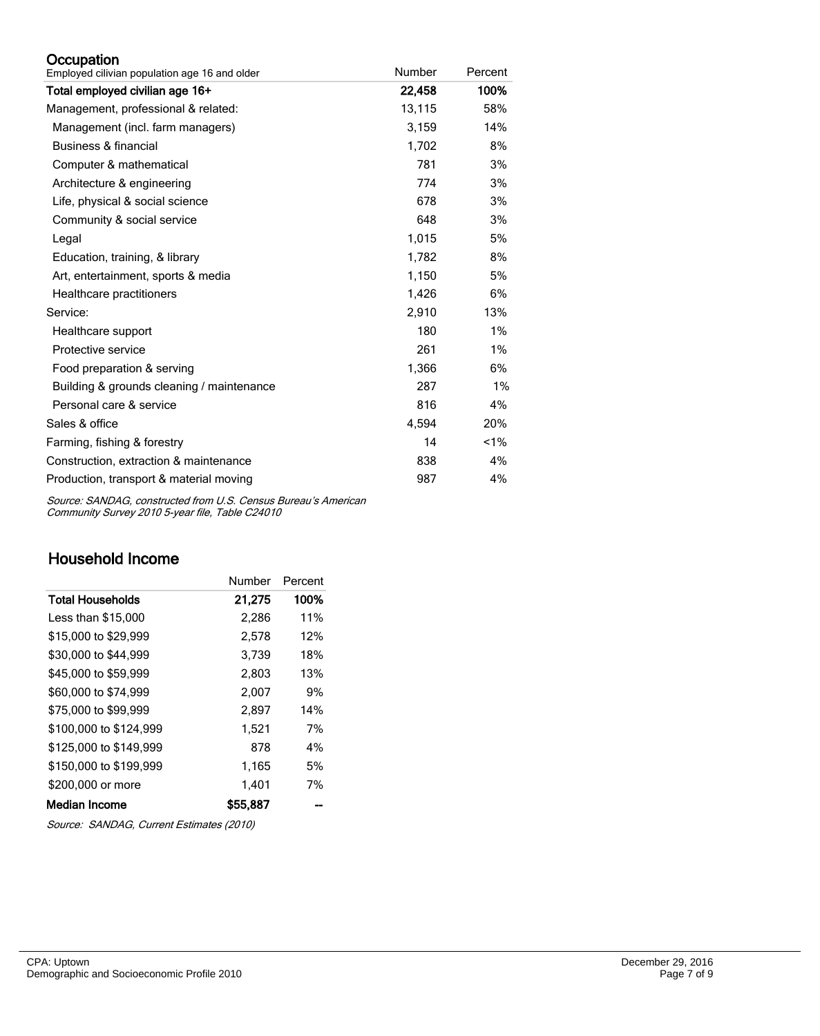#### **Occupation**

| Employed cilivian population age 16 and older | Number | Percent |
|-----------------------------------------------|--------|---------|
| Total employed civilian age 16+               | 22,458 | 100%    |
| Management, professional & related:           | 13,115 | 58%     |
| Management (incl. farm managers)              | 3,159  | 14%     |
| Business & financial                          | 1,702  | 8%      |
| Computer & mathematical                       | 781    | 3%      |
| Architecture & engineering                    | 774    | 3%      |
| Life, physical & social science               | 678    | 3%      |
| Community & social service                    | 648    | 3%      |
| Legal                                         | 1,015  | 5%      |
| Education, training, & library                | 1,782  | 8%      |
| Art, entertainment, sports & media            | 1,150  | 5%      |
| Healthcare practitioners                      | 1,426  | 6%      |
| Service:                                      | 2,910  | 13%     |
| Healthcare support                            | 180    | 1%      |
| Protective service                            | 261    | 1%      |
| Food preparation & serving                    | 1,366  | 6%      |
| Building & grounds cleaning / maintenance     | 287    | 1%      |
| Personal care & service                       | 816    | 4%      |
| Sales & office                                | 4,594  | 20%     |
| Farming, fishing & forestry                   | 14     | 1%      |
| Construction, extraction & maintenance        | 838    | 4%      |
| Production, transport & material moving       | 987    | 4%      |

Source: SANDAG, constructed from U.S. Census Bureau's American Community Survey 2010 5-year file, Table C24010

## Household Income

|                        | Number   | Percent |
|------------------------|----------|---------|
| Total Households       | 21,275   | 100%    |
| Less than \$15,000     | 2,286    | 11%     |
| \$15,000 to \$29,999   | 2,578    | 12%     |
| \$30,000 to \$44,999   | 3,739    | 18%     |
| \$45,000 to \$59,999   | 2.803    | 13%     |
| \$60,000 to \$74,999   | 2,007    | 9%      |
| \$75,000 to \$99.999   | 2.897    | 14%     |
| \$100,000 to \$124.999 | 1,521    | 7%      |
| \$125,000 to \$149.999 | 878      | 4%      |
| \$150,000 to \$199,999 | 1,165    | 5%      |
| \$200,000 or more      | 1.401    | 7%      |
| Median Income          | \$55.887 |         |

Source: SANDAG, Current Estimates (2010)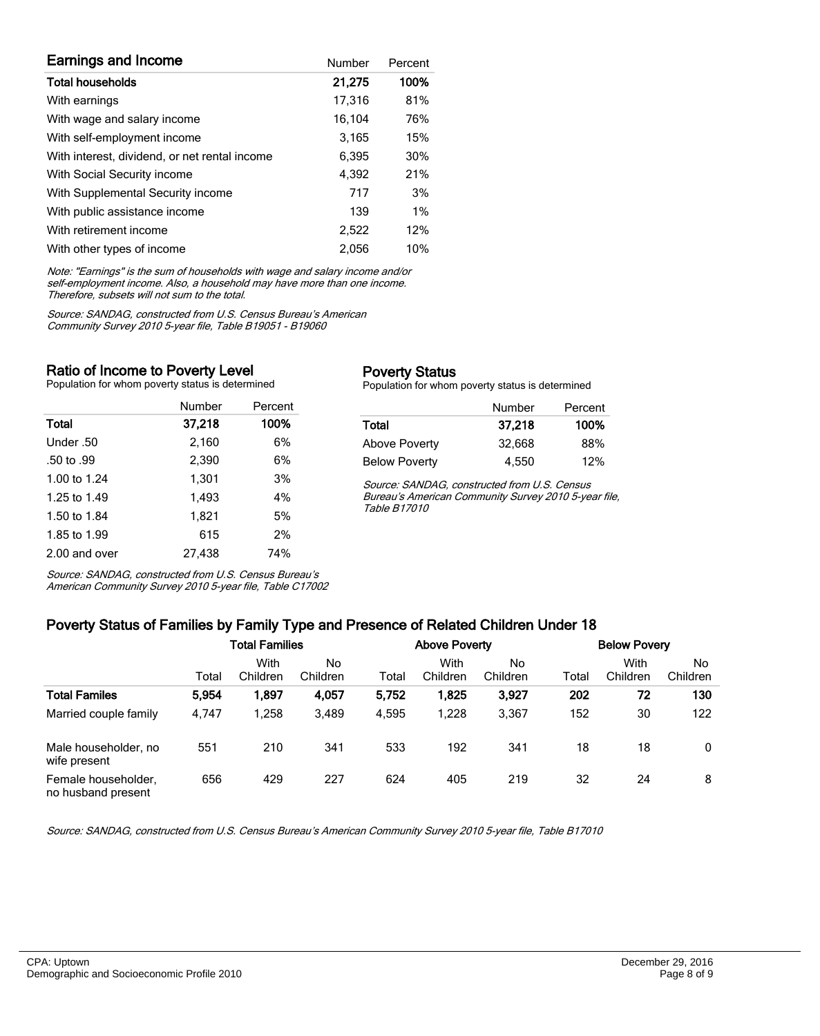| <b>Earnings and Income</b>                    | Number | Percent |
|-----------------------------------------------|--------|---------|
| <b>Total households</b>                       | 21,275 | 100%    |
| With earnings                                 | 17,316 | 81%     |
| With wage and salary income                   | 16,104 | 76%     |
| With self-employment income                   | 3,165  | 15%     |
| With interest, dividend, or net rental income | 6,395  | 30%     |
| With Social Security income                   | 4,392  | 21%     |
| With Supplemental Security income             | 717    | 3%      |
| With public assistance income                 | 139    | 1%      |
| With retirement income                        | 2,522  | 12%     |
| With other types of income                    | 2.056  | 10%     |

Note: "Earnings" is the sum of households with wage and salary income and/or self-employment income. Also, a household may have more than one income. Therefore, subsets will not sum to the total.

Source: SANDAG, constructed from U.S. Census Bureau's American Community Survey 2010 5-year file, Table B19051 - B19060

#### Ratio of Income to Poverty Level

Population for whom poverty status is determined

|               | Number | Percent |
|---------------|--------|---------|
| Total         | 37,218 | 100%    |
| Under .50     | 2,160  | 6%      |
| .50 to .99    | 2.390  | 6%      |
| 1.00 to 1.24  | 1,301  | 3%      |
| 1.25 to 1.49  | 1.493  | 4%      |
| 1.50 to 1.84  | 1,821  | 5%      |
| 1.85 to 1.99  | 615    | 2%      |
| 2.00 and over | 27.438 | 74%     |

Source: SANDAG, constructed from U.S. Census Bureau's American Community Survey 2010 5-year file, Table C17002

#### Poverty Status

Population for whom poverty status is determined

|                      | Number | Percent |
|----------------------|--------|---------|
| Total                | 37,218 | 100%    |
| Above Poverty        | 32.668 | 88%     |
| <b>Below Poverty</b> | 4.550  | 12%     |

Source: SANDAG, constructed from U.S. Census Bureau's American Community Survey 2010 5-year file, Table B17010

# Poverty Status of Families by Family Type and Presence of Related Children Under 18

| . .<br>. .                                |                       |                  |                |       |                      |                 |       |                     |                |  |
|-------------------------------------------|-----------------------|------------------|----------------|-------|----------------------|-----------------|-------|---------------------|----------------|--|
|                                           | <b>Total Families</b> |                  |                |       | <b>Above Poverty</b> |                 |       | <b>Below Povery</b> |                |  |
|                                           | Total                 | With<br>Children | No<br>Children | Total | With<br>Children     | No.<br>Children | Total | With<br>Children    | No<br>Children |  |
| <b>Total Familes</b>                      | 5,954                 | 1,897            | 4,057          | 5,752 | 1,825                | 3.927           | 202   | 72                  | 130            |  |
| Married couple family                     | 4,747                 | .258             | 3,489          | 4.595 | 1.228                | 3,367           | 152   | 30                  | 122            |  |
| Male householder, no<br>wife present      | 551                   | 210              | 341            | 533   | 192                  | 341             | 18    | 18                  | 0              |  |
| Female householder,<br>no husband present | 656                   | 429              | 227            | 624   | 405                  | 219             | 32    | 24                  | 8              |  |